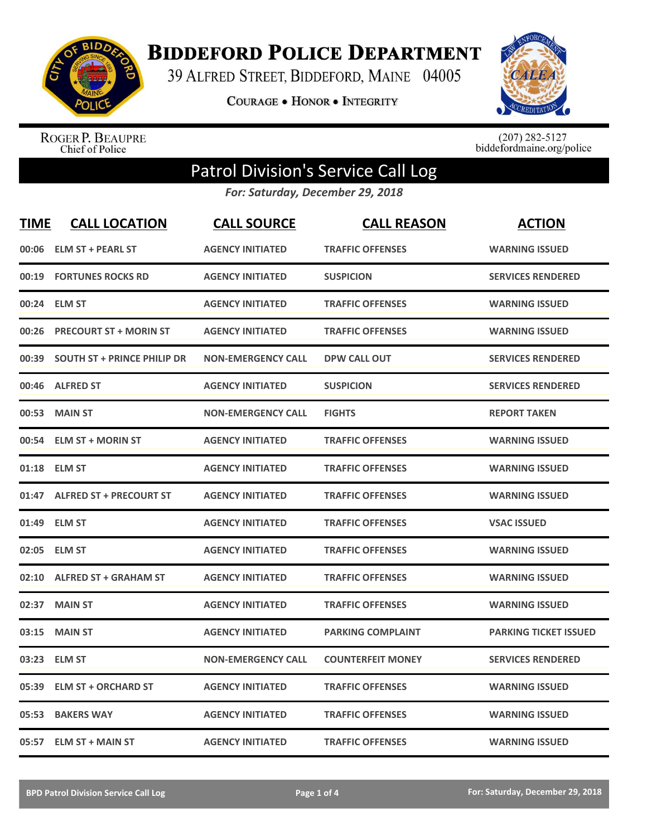

**BIDDEFORD POLICE DEPARTMENT** 

39 ALFRED STREET, BIDDEFORD, MAINE 04005

**COURAGE . HONOR . INTEGRITY** 



ROGER P. BEAUPRE<br>Chief of Police

 $(207)$  282-5127<br>biddefordmaine.org/police

## Patrol Division's Service Call Log

*For: Saturday, December 29, 2018*

| <b>TIME</b> | <b>CALL LOCATION</b>               | <b>CALL SOURCE</b>        | <b>CALL REASON</b>       | <b>ACTION</b>                |
|-------------|------------------------------------|---------------------------|--------------------------|------------------------------|
| 00:06       | <b>ELM ST + PEARL ST</b>           | <b>AGENCY INITIATED</b>   | <b>TRAFFIC OFFENSES</b>  | <b>WARNING ISSUED</b>        |
| 00:19       | <b>FORTUNES ROCKS RD</b>           | <b>AGENCY INITIATED</b>   | <b>SUSPICION</b>         | <b>SERVICES RENDERED</b>     |
| 00:24       | <b>ELM ST</b>                      | <b>AGENCY INITIATED</b>   | <b>TRAFFIC OFFENSES</b>  | <b>WARNING ISSUED</b>        |
| 00:26       | <b>PRECOURT ST + MORIN ST</b>      | <b>AGENCY INITIATED</b>   | <b>TRAFFIC OFFENSES</b>  | <b>WARNING ISSUED</b>        |
| 00:39       | <b>SOUTH ST + PRINCE PHILIP DR</b> | <b>NON-EMERGENCY CALL</b> | <b>DPW CALL OUT</b>      | <b>SERVICES RENDERED</b>     |
| 00:46       | <b>ALFRED ST</b>                   | <b>AGENCY INITIATED</b>   | <b>SUSPICION</b>         | <b>SERVICES RENDERED</b>     |
| 00:53       | <b>MAIN ST</b>                     | <b>NON-EMERGENCY CALL</b> | <b>FIGHTS</b>            | <b>REPORT TAKEN</b>          |
| 00:54       | <b>ELM ST + MORIN ST</b>           | <b>AGENCY INITIATED</b>   | <b>TRAFFIC OFFENSES</b>  | <b>WARNING ISSUED</b>        |
| 01:18       | <b>ELM ST</b>                      | <b>AGENCY INITIATED</b>   | <b>TRAFFIC OFFENSES</b>  | <b>WARNING ISSUED</b>        |
| 01:47       | <b>ALFRED ST + PRECOURT ST</b>     | <b>AGENCY INITIATED</b>   | <b>TRAFFIC OFFENSES</b>  | <b>WARNING ISSUED</b>        |
| 01:49       | <b>ELM ST</b>                      | <b>AGENCY INITIATED</b>   | <b>TRAFFIC OFFENSES</b>  | <b>VSAC ISSUED</b>           |
| 02:05       | <b>ELM ST</b>                      | <b>AGENCY INITIATED</b>   | <b>TRAFFIC OFFENSES</b>  | <b>WARNING ISSUED</b>        |
| 02:10       | <b>ALFRED ST + GRAHAM ST</b>       | <b>AGENCY INITIATED</b>   | <b>TRAFFIC OFFENSES</b>  | <b>WARNING ISSUED</b>        |
| 02:37       | <b>MAIN ST</b>                     | <b>AGENCY INITIATED</b>   | <b>TRAFFIC OFFENSES</b>  | <b>WARNING ISSUED</b>        |
| 03:15       | <b>MAIN ST</b>                     | <b>AGENCY INITIATED</b>   | <b>PARKING COMPLAINT</b> | <b>PARKING TICKET ISSUED</b> |
| 03:23       | <b>ELM ST</b>                      | <b>NON-EMERGENCY CALL</b> | <b>COUNTERFEIT MONEY</b> | <b>SERVICES RENDERED</b>     |
| 05:39       | <b>ELM ST + ORCHARD ST</b>         | <b>AGENCY INITIATED</b>   | <b>TRAFFIC OFFENSES</b>  | <b>WARNING ISSUED</b>        |
| 05:53       | <b>BAKERS WAY</b>                  | <b>AGENCY INITIATED</b>   | <b>TRAFFIC OFFENSES</b>  | <b>WARNING ISSUED</b>        |
| 05:57       | <b>ELM ST + MAIN ST</b>            | <b>AGENCY INITIATED</b>   | <b>TRAFFIC OFFENSES</b>  | <b>WARNING ISSUED</b>        |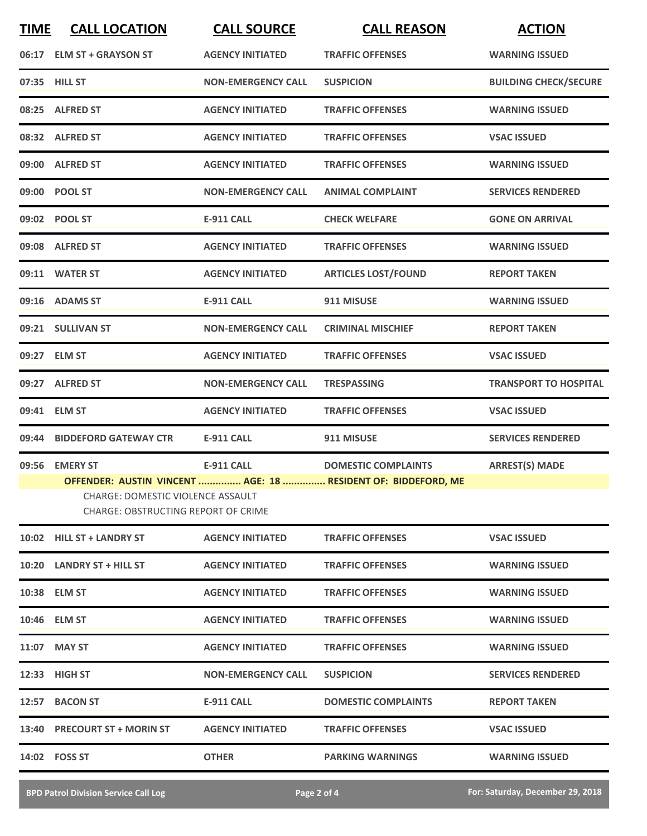| <b>TIME</b> | <b>CALL LOCATION</b>                                                            | <b>CALL SOURCE</b>        | <b>CALL REASON</b>                                            | <b>ACTION</b>                |
|-------------|---------------------------------------------------------------------------------|---------------------------|---------------------------------------------------------------|------------------------------|
|             | 06:17 ELM ST + GRAYSON ST                                                       | <b>AGENCY INITIATED</b>   | <b>TRAFFIC OFFENSES</b>                                       | <b>WARNING ISSUED</b>        |
|             | 07:35 HILL ST                                                                   | <b>NON-EMERGENCY CALL</b> | <b>SUSPICION</b>                                              | <b>BUILDING CHECK/SECURE</b> |
|             | 08:25 ALFRED ST                                                                 | <b>AGENCY INITIATED</b>   | <b>TRAFFIC OFFENSES</b>                                       | <b>WARNING ISSUED</b>        |
|             | 08:32 ALFRED ST                                                                 | <b>AGENCY INITIATED</b>   | <b>TRAFFIC OFFENSES</b>                                       | <b>VSAC ISSUED</b>           |
|             | 09:00 ALFRED ST                                                                 | <b>AGENCY INITIATED</b>   | <b>TRAFFIC OFFENSES</b>                                       | <b>WARNING ISSUED</b>        |
|             | 09:00 POOL ST                                                                   | <b>NON-EMERGENCY CALL</b> | <b>ANIMAL COMPLAINT</b>                                       | <b>SERVICES RENDERED</b>     |
|             | 09:02 POOL ST                                                                   | <b>E-911 CALL</b>         | <b>CHECK WELFARE</b>                                          | <b>GONE ON ARRIVAL</b>       |
|             | 09:08 ALFRED ST                                                                 | <b>AGENCY INITIATED</b>   | <b>TRAFFIC OFFENSES</b>                                       | <b>WARNING ISSUED</b>        |
|             | 09:11 WATER ST                                                                  | <b>AGENCY INITIATED</b>   | <b>ARTICLES LOST/FOUND</b>                                    | <b>REPORT TAKEN</b>          |
|             | 09:16 ADAMS ST                                                                  | <b>E-911 CALL</b>         | 911 MISUSE                                                    | <b>WARNING ISSUED</b>        |
|             | 09:21 SULLIVAN ST                                                               | <b>NON-EMERGENCY CALL</b> | <b>CRIMINAL MISCHIEF</b>                                      | <b>REPORT TAKEN</b>          |
|             | 09:27 ELM ST                                                                    | <b>AGENCY INITIATED</b>   | <b>TRAFFIC OFFENSES</b>                                       | <b>VSAC ISSUED</b>           |
|             | 09:27 ALFRED ST                                                                 | <b>NON-EMERGENCY CALL</b> | <b>TRESPASSING</b>                                            | <b>TRANSPORT TO HOSPITAL</b> |
|             | 09:41 ELM ST                                                                    | <b>AGENCY INITIATED</b>   | <b>TRAFFIC OFFENSES</b>                                       | <b>VSAC ISSUED</b>           |
|             | 09:44 BIDDEFORD GATEWAY CTR                                                     | <b>E-911 CALL</b>         | 911 MISUSE                                                    | <b>SERVICES RENDERED</b>     |
|             | 09:56 EMERY ST                                                                  | <b>E-911 CALL</b>         | <b>DOMESTIC COMPLAINTS</b>                                    | <b>ARREST(S) MADE</b>        |
|             | CHARGE: DOMESTIC VIOLENCE ASSAULT<br><b>CHARGE: OBSTRUCTING REPORT OF CRIME</b> |                           | OFFENDER: AUSTIN VINCENT  AGE: 18  RESIDENT OF: BIDDEFORD, ME |                              |
|             | 10:02 HILL ST + LANDRY ST                                                       | <b>AGENCY INITIATED</b>   | <b>TRAFFIC OFFENSES</b>                                       | <b>VSAC ISSUED</b>           |
|             | 10:20 LANDRY ST + HILL ST                                                       | <b>AGENCY INITIATED</b>   | <b>TRAFFIC OFFENSES</b>                                       | <b>WARNING ISSUED</b>        |
|             | 10:38 ELM ST                                                                    | <b>AGENCY INITIATED</b>   | <b>TRAFFIC OFFENSES</b>                                       | <b>WARNING ISSUED</b>        |
|             | 10:46 ELM ST                                                                    | <b>AGENCY INITIATED</b>   | <b>TRAFFIC OFFENSES</b>                                       | <b>WARNING ISSUED</b>        |
|             | 11:07 MAY ST                                                                    | <b>AGENCY INITIATED</b>   | <b>TRAFFIC OFFENSES</b>                                       | <b>WARNING ISSUED</b>        |
|             | 12:33 HIGH ST                                                                   | <b>NON-EMERGENCY CALL</b> | <b>SUSPICION</b>                                              | <b>SERVICES RENDERED</b>     |
|             | 12:57 BACON ST                                                                  | <b>E-911 CALL</b>         | <b>DOMESTIC COMPLAINTS</b>                                    | <b>REPORT TAKEN</b>          |
|             | 13:40 PRECOURT ST + MORIN ST                                                    | <b>AGENCY INITIATED</b>   | <b>TRAFFIC OFFENSES</b>                                       | <b>VSAC ISSUED</b>           |
|             | 14:02 FOSS ST                                                                   | <b>OTHER</b>              | <b>PARKING WARNINGS</b>                                       | <b>WARNING ISSUED</b>        |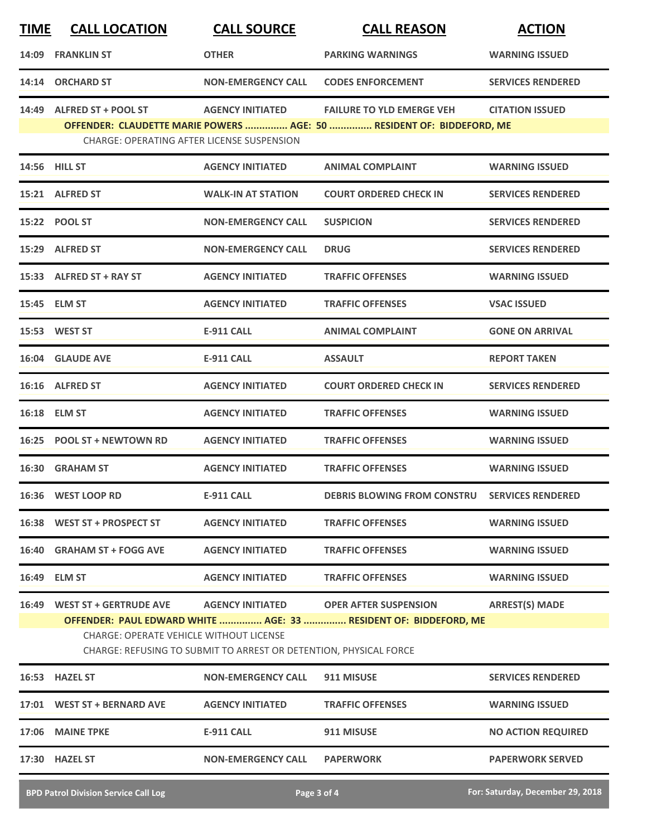| <b>TIME</b> | <b>CALL LOCATION</b>                                                           | <b>CALL SOURCE</b>                                                                           | <b>CALL REASON</b>                                                                               | <b>ACTION</b>             |
|-------------|--------------------------------------------------------------------------------|----------------------------------------------------------------------------------------------|--------------------------------------------------------------------------------------------------|---------------------------|
| 14:09       | <b>FRANKLIN ST</b>                                                             | <b>OTHER</b>                                                                                 | <b>PARKING WARNINGS</b>                                                                          | <b>WARNING ISSUED</b>     |
|             | 14:14 ORCHARD ST                                                               | <b>NON-EMERGENCY CALL</b>                                                                    | <b>CODES ENFORCEMENT</b>                                                                         | <b>SERVICES RENDERED</b>  |
| 14:49       | <b>ALFRED ST + POOL ST</b>                                                     | <b>AGENCY INITIATED</b>                                                                      | <b>FAILURE TO YLD EMERGE VEH</b>                                                                 | <b>CITATION ISSUED</b>    |
|             | <b>CHARGE: OPERATING AFTER LICENSE SUSPENSION</b>                              |                                                                                              | OFFENDER: CLAUDETTE MARIE POWERS  AGE: 50  RESIDENT OF: BIDDEFORD, ME                            |                           |
|             | 14:56 HILL ST                                                                  | <b>AGENCY INITIATED</b>                                                                      | <b>ANIMAL COMPLAINT</b>                                                                          | <b>WARNING ISSUED</b>     |
|             | 15:21 ALFRED ST                                                                | <b>WALK-IN AT STATION</b>                                                                    | <b>COURT ORDERED CHECK IN</b>                                                                    | <b>SERVICES RENDERED</b>  |
|             | 15:22 POOL ST                                                                  | <b>NON-EMERGENCY CALL</b>                                                                    | <b>SUSPICION</b>                                                                                 | <b>SERVICES RENDERED</b>  |
|             | 15:29 ALFRED ST                                                                | <b>NON-EMERGENCY CALL</b>                                                                    | <b>DRUG</b>                                                                                      | <b>SERVICES RENDERED</b>  |
|             | 15:33 ALFRED ST + RAY ST                                                       | <b>AGENCY INITIATED</b>                                                                      | <b>TRAFFIC OFFENSES</b>                                                                          | <b>WARNING ISSUED</b>     |
|             | 15:45 ELM ST                                                                   | <b>AGENCY INITIATED</b>                                                                      | <b>TRAFFIC OFFENSES</b>                                                                          | <b>VSAC ISSUED</b>        |
|             | 15:53 WEST ST                                                                  | <b>E-911 CALL</b>                                                                            | <b>ANIMAL COMPLAINT</b>                                                                          | <b>GONE ON ARRIVAL</b>    |
|             | 16:04 GLAUDE AVE                                                               | <b>E-911 CALL</b>                                                                            | <b>ASSAULT</b>                                                                                   | <b>REPORT TAKEN</b>       |
|             | 16:16 ALFRED ST                                                                | <b>AGENCY INITIATED</b>                                                                      | <b>COURT ORDERED CHECK IN</b>                                                                    | <b>SERVICES RENDERED</b>  |
|             | 16:18 ELM ST                                                                   | <b>AGENCY INITIATED</b>                                                                      | <b>TRAFFIC OFFENSES</b>                                                                          | <b>WARNING ISSUED</b>     |
| 16:25       | <b>POOL ST + NEWTOWN RD</b>                                                    | <b>AGENCY INITIATED</b>                                                                      | <b>TRAFFIC OFFENSES</b>                                                                          | <b>WARNING ISSUED</b>     |
|             | 16:30 GRAHAM ST                                                                | <b>AGENCY INITIATED</b>                                                                      | <b>TRAFFIC OFFENSES</b>                                                                          | <b>WARNING ISSUED</b>     |
|             | 16:36 WEST LOOP RD                                                             | <b>E-911 CALL</b>                                                                            | DEBRIS BLOWING FROM CONSTRU SERVICES RENDERED                                                    |                           |
|             | 16:38 WEST ST + PROSPECT ST                                                    | <b>AGENCY INITIATED</b>                                                                      | <b>TRAFFIC OFFENSES</b>                                                                          | <b>WARNING ISSUED</b>     |
|             | 16:40 GRAHAM ST + FOGG AVE                                                     | <b>AGENCY INITIATED</b>                                                                      | <b>TRAFFIC OFFENSES</b>                                                                          | <b>WARNING ISSUED</b>     |
|             | 16:49 ELM ST                                                                   | <b>AGENCY INITIATED</b>                                                                      | <b>TRAFFIC OFFENSES</b>                                                                          | <b>WARNING ISSUED</b>     |
|             | 16:49 WEST ST + GERTRUDE AVE<br><b>CHARGE: OPERATE VEHICLE WITHOUT LICENSE</b> | <b>AGENCY INITIATED</b><br>CHARGE: REFUSING TO SUBMIT TO ARREST OR DETENTION, PHYSICAL FORCE | <b>OPER AFTER SUSPENSION</b><br>OFFENDER: PAUL EDWARD WHITE  AGE: 33  RESIDENT OF: BIDDEFORD, ME | <b>ARREST(S) MADE</b>     |
|             | 16:53 HAZEL ST                                                                 | <b>NON-EMERGENCY CALL</b>                                                                    | 911 MISUSE                                                                                       | <b>SERVICES RENDERED</b>  |
|             | 17:01 WEST ST + BERNARD AVE                                                    | <b>AGENCY INITIATED</b>                                                                      | <b>TRAFFIC OFFENSES</b>                                                                          | <b>WARNING ISSUED</b>     |
|             | 17:06 MAINE TPKE                                                               | <b>E-911 CALL</b>                                                                            | 911 MISUSE                                                                                       | <b>NO ACTION REQUIRED</b> |
|             | 17:30 HAZEL ST                                                                 | <b>NON-EMERGENCY CALL</b>                                                                    | <b>PAPERWORK</b>                                                                                 | <b>PAPERWORK SERVED</b>   |
|             |                                                                                |                                                                                              |                                                                                                  |                           |